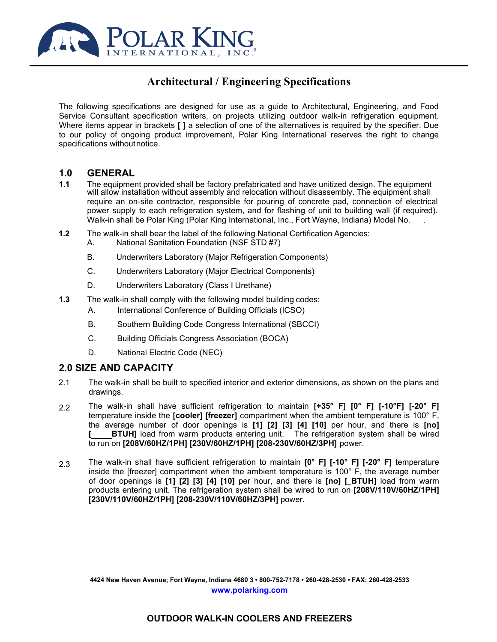

# **Architectural / Engineering Specifications**

The following specifications are designed for use as a guide to Architectural, Engineering, and Food Service Consultant specification writers, on projects utilizing outdoor walk-in refrigeration equipment. Where items appear in brackets **[ ]** a selection of one of the alternatives is required by the specifier. Due to our policy of ongoing product improvement, Polar King International reserves the right to change specifications withoutnotice.

### **1.0 GENERAL**

- **1.1** The equipment provided shall be factory prefabricated and have unitized design. The equipment will allow installation without assembly and relocation without disassembly. The equipment shall require an on-site contractor, responsible for pouring of concrete pad, connection of electrical power supply to each refrigeration system, and for flashing of unit to building wall (if required). Walk-in shall be Polar King (Polar King International, Inc., Fort Wayne, Indiana) Model No. .
- **1.2** The walk-in shall bear the label of the following National Certification Agencies:
	- A. National Sanitation Foundation (NSF STD #7)
	- B. Underwriters Laboratory (Major Refrigeration Components)
	- C. Underwriters Laboratory (Major Electrical Components)
	- D. Underwriters Laboratory (Class I Urethane)
- **1.3** The walk-in shall comply with the following model building codes:
	- A. International Conference of Building Officials (ICSO)
	- B. Southern Building Code Congress International (SBCCI)
	- C. Building Officials Congress Association (BOCA)
	- D. National Electric Code (NEC)

### **2.0 SIZE AND CAPACITY**

- 2.1 The walk-in shall be built to specified interior and exterior dimensions, as shown on the plans and drawings.
- 2.2 The walk-in shall have sufficient refrigeration to maintain **[+35° F] [0° F] [-10°F] [-20° F]**  temperature inside the **[cooler] [freezer]** compartment when the ambient temperature is 100° F, the average number of door openings is **[1] [2] [3] [4] [10]** per hour, and there is **[no] BTUH]** load from warm products entering unit. The refrigeration system shall be wired to run on **[208V/60HZ/1PH] [230V/60HZ/1PH] [208-230V/60HZ/3PH]** power.
- 2.3 The walk-in shall have sufficient refrigeration to maintain **[0° F] [-10° F] [-20° F]** temperature inside the [freezer] compartment when the ambient temperature is 100° F, the average number of door openings is **[1] [2] [3] [4] [10]** per hour, and there is **[no] [ BTUH]** load from warm products entering unit. The refrigeration system shall be wired to run on **[208V/110V/60HZ/1PH] [230V/110V/60HZ/1PH] [208-230V/110V/60HZ/3PH]** power.

**4424 New Haven Avenue; Fort Wayne, Indiana 4680 3 • 800-752-7178 • 260-428-2530 • FAX: 260-428-2533 [www.polarking.com](http://www.polarking.com/)**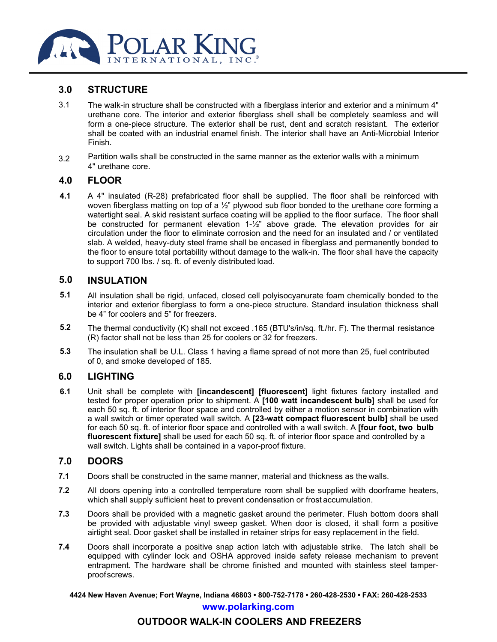

### **3.0 STRUCTURE**

- 3.1 The walk-in structure shall be constructed with a fiberglass interior and exterior and a minimum 4" urethane core. The interior and exterior fiberglass shell shall be completely seamless and will form a one-piece structure. The exterior shall be rust, dent and scratch resistant. The exterior shall be coated with an industrial enamel finish. The interior shall have an Anti-Microbial Interior Finish.
- 3.2 Partition walls shall be constructed in the same manner as the exterior walls with a minimum 4" urethane core.

### **4.0 FLOOR**

**4.1** A 4" insulated (R-28) prefabricated floor shall be supplied. The floor shall be reinforced with woven fiberglass matting on top of a  $\frac{1}{2}$ " plywood sub floor bonded to the urethane core forming a watertight seal. A skid resistant surface coating will be applied to the floor surface. The floor shall be constructed for permanent elevation 1-½" above grade. The elevation provides for air circulation under the floor to eliminate corrosion and the need for an insulated and / or ventilated slab. A welded, heavy-duty steel frame shall be encased in fiberglass and permanently bonded to the floor to ensure total portability without damage to the walk-in. The floor shall have the capacity to support 700 Ibs. / sq. ft. of evenly distributed load.

### **5.0 INSULATION**

- **5.1** All insulation shall be rigid, unfaced, closed cell polyisocyanurate foam chemically bonded to the interior and exterior fiberglass to form a one-piece structure. Standard insulation thickness shall be 4" for coolers and 5" for freezers.
- **5.2** The thermal conductivity (K) shall not exceed .165 (BTU's/in/sq. ft./hr. F). The thermal resistance (R) factor shall not be less than 25 for coolers or 32 for freezers.
- **5.3** The insulation shall be U.L. Class 1 having a flame spread of not more than 25, fuel contributed of 0, and smoke developed of 185.

### **6.0 LIGHTING**

**6.1** Unit shall be complete with **[incandescent] [fluorescent]** light fixtures factory installed and tested for proper operation prior to shipment. A **[100 watt incandescent bulb]** shall be used for each 50 sq. ft. of interior floor space and controlled by either a motion sensor in combination with a wall switch or timer operated wall switch. A **[23-watt compact fluorescent bulb]** shall be used for each 50 sq. ft. of interior floor space and controlled with a wall switch. A **[four foot, two bulb fluorescent fixture]** shall be used for each 50 sq. ft. of interior floor space and controlled by a wall switch. Lights shall be contained in a vapor-proof fixture.

### **7.0 DOORS**

- **7.1** Doors shall be constructed in the same manner, material and thickness as the walls.
- **7.2** All doors opening into a controlled temperature room shall be supplied with doorframe heaters, which shall supply sufficient heat to prevent condensation or frost accumulation.
- **7.3** Doors shall be provided with a magnetic gasket around the perimeter. Flush bottom doors shall be provided with adjustable vinyl sweep gasket. When door is closed, it shall form a positive airtight seal. Door gasket shall be installed in retainer strips for easy replacement in the field.
- **7.4** Doors shall incorporate a positive snap action latch with adjustable strike. The latch shall be equipped with cylinder lock and OSHA approved inside safety release mechanism to prevent entrapment. The hardware shall be chrome finished and mounted with stainless steel tamperproofscrews.

**4424 New Haven Avenue; Fort Wayne, Indiana 46803 • 800-752-7178 • 260-428-2530 • FAX: 260-428-2533**

### **[www.polarking.com](http://www.polarking.com/)**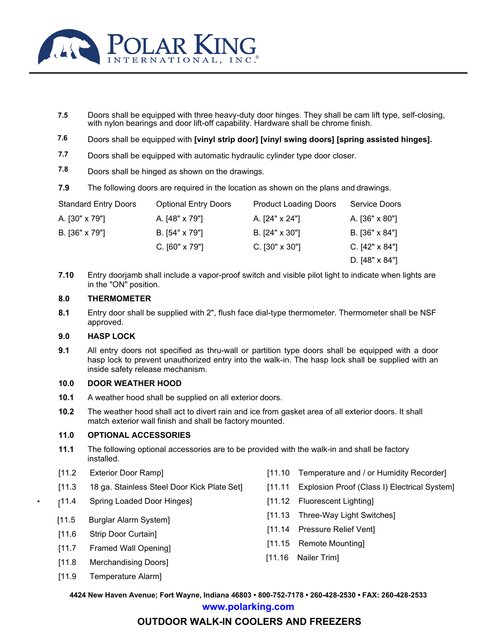

- **7.5** Doors shall be equipped with three heavy-duty door hinges. They shall be cam lift type, self-closing, with nylon bearings and door lift-off capability. Hardware shall be chrome finish.
- **7.6** Doors shall be equipped with **[vinyl strip door] [vinyl swing doors] [spring assisted hinges].**
- **7.7** Doors shall be equipped with automatic hydraulic cylinder type door closer.
- **7.8** Doors shall be hinged as shown on the drawings.
- **7.9** The following doors are required in the location as shown on the plans and drawings.

| <b>Standard Entry Doors</b> | <b>Optional Entry Doors</b> | <b>Product Loading Doors</b> | Service Doors         |
|-----------------------------|-----------------------------|------------------------------|-----------------------|
| A. [30" x 79"]              | A. [48" x 79"]              | A. [24" x 24"]               | A. [36" x 80"]        |
| B. [36" x 79"]              | B. [54" x 79"]              | B. $[24" \times 30"]$        | $B. [36" \times 84"]$ |
|                             | $C.$ [60" x 79"]            | $C.$ [30" x 30"]             | C. $[42" \times 84"]$ |
|                             |                             |                              | D. [48" x 84"]        |
|                             |                             |                              |                       |

**7.10** Entry doorjamb shall include a vapor-proof switch and visible pilot light to indicate when lights are in the "ON" position.

### **8.0 THERMOMETER**

**8.1** Entry door shall be supplied with 2", flush face dial-type thermometer. Thermometer shall be NSF approved.

#### **9.0 HASP LOCK**

**9.1** All entry doors not specified as thru-wall or partition type doors shall be equipped with a door hasp lock to prevent unauthorized entry into the walk-in. The hasp lock shall be supplied with an inside safety release mechanism.

#### **10.0 DOOR WEATHER HOOD**

- **10.1** A weather hood shall be supplied on all exterior doors.
- **10.2** The weather hood shall act to divert rain and ice from gasket area of all exterior doors. It shall match exterior wall finish and shall be factory mounted.

#### **11.0 OPTIONAL ACCESSORIES**

- **11.1** The following optional accessories are to be provided with the walk-in and shall be factory installed.
- [11.2 Exterior Door Ramp]
- [11.3 18 ga. Stainless Steel Door Kick Plate Set]
- [11.4 Spring Loaded Door Hinges]
	- [11.5 Burglar Alarm System]
	- [11.6 Strip Door Curtain]
	- [11.7 Framed Wall Opening]
	- [11.8 Merchandising Doors]
	- [11.9 Temperature Alarm]
- [11.10 Temperature and / or Humidity Recorder]
- [11.11 Explosion Proof (Class I) Electrical System]
- [11.12 Fluorescent Lighting]
- [11.13 Three-Way Light Switches]
- [11.14 Pressure Relief Vent]
- [11.15 Remote Mounting]
- [11.16 Nailer Trim]

**4424 New Haven Avenue; Fort Wayne, Indiana 46803 • 800-752-7178 • 260-428-2530 • FAX: 260-428-2533**

**[www.polarking.com](http://www.polarking.com/)**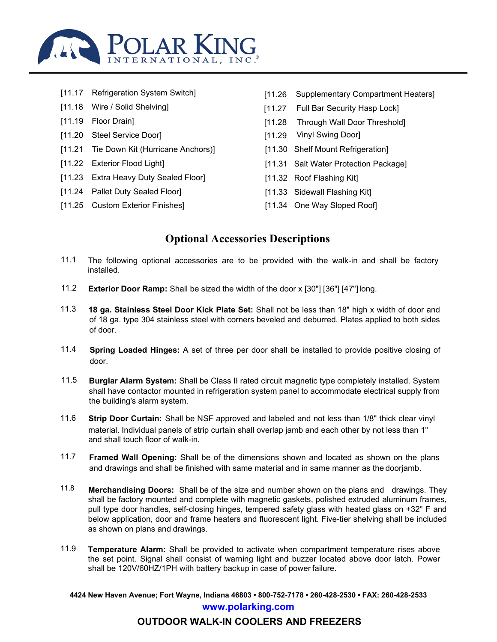

[11.17 Refrigeration System Switch] [11.26 Supplementary Compartment Heaters] [11.18 Wire / Solid Shelving] [11.27 Full Bar Security Hasp Lock] [11.19 Floor Drain] [11.28 Through Wall Door Threshold] [11.20 Steel Service Door] [11.29 Vinyl Swing Door] [11.21 Tie Down Kit (Hurricane Anchors)] [11.30 Shelf Mount Refrigeration] [11.22 Exterior Flood Light] [11.31 Salt Water Protection Package] [11.23 Extra Heavy Duty Sealed Floor] [11.32 Roof Flashing Kit] [11.24 Pallet Duty Sealed Floor] [11.33 Sidewall Flashing Kit] [11.25 Custom Exterior Finishes] [11.34 One Way Sloped Roof]

# **Optional Accessories Descriptions**

- 11.1 The following optional accessories are to be provided with the walk-in and shall be factory installed.
- 11.2 **Exterior Door Ramp:** Shall be sized the width of the door x [30"] [36"] [47"] long.
- 11.3 **18 ga. Stainless Steel Door Kick Plate Set:** Shall not be less than 18" high x width of door and of 18 ga. type 304 stainless steel with corners beveled and deburred. Plates applied to both sides of door.
- 11.4 **Spring Loaded Hinges:** A set of three per door shall be installed to provide positive closing of door.
- 11.5 **Burglar Alarm System:** Shall be Class II rated circuit magnetic type completely installed. System shall have contactor mounted in refrigeration system panel to accommodate electrical supply from the building's alarm system.
- 11.6 **Strip Door Curtain:** Shall be NSF approved and labeled and not less than 1/8" thick clear vinyl material. Individual panels of strip curtain shall overlap jamb and each other by not less than 1" and shall touch floor of walk-in.
- 11.7 **Framed Wall Opening:** Shall be of the dimensions shown and located as shown on the plans and drawings and shall be finished with same material and in same manner as the doorjamb.
- 11.8 **Merchandising Doors:** Shall be of the size and number shown on the plans and drawings. They shall be factory mounted and complete with magnetic gaskets, polished extruded aluminum frames, pull type door handles, self-closing hinges, tempered safety glass with heated glass on +32° F and below application, door and frame heaters and fluorescent light. Five-tier shelving shall be included as shown on plans and drawings.
- 11.9 **Temperature Alarm:** Shall be provided to activate when compartment temperature rises above the set point. Signal shall consist of warning light and buzzer located above door latch. Power shall be 120V/60HZ/1PH with battery backup in case of power failure.

**4424 New Haven Avenue; Fort Wayne, Indiana 46803 • 800-752-7178 • 260-428-2530 • FAX: 260-428-2533 [www.polarking.com](http://www.polarking.com/)**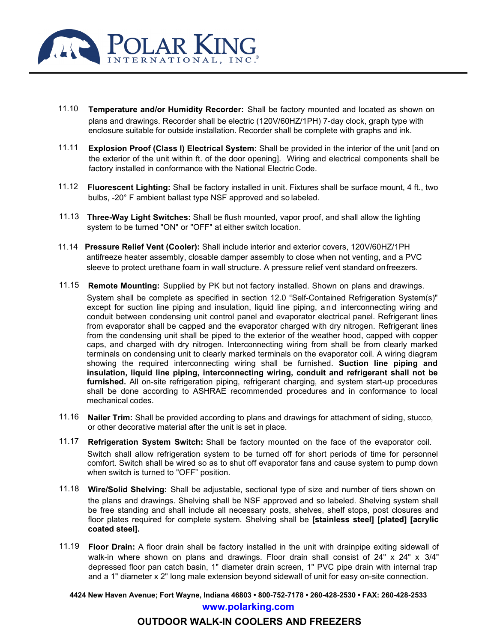

- 11.10 **Temperature and/or Humidity Recorder:** Shall be factory mounted and located as shown on plans and drawings. Recorder shall be electric (120V/60HZ/1PH) 7-day clock, graph type with enclosure suitable for outside installation. Recorder shall be complete with graphs and ink.
- 11.11 **Explosion Proof (Class I) Electrical System:** Shall be provided in the interior of the unit [and on the exterior of the unit within ft. of the door opening]. Wiring and electrical components shall be factory installed in conformance with the National Electric Code.
- 11.12 **Fluorescent Lighting:** Shall be factory installed in unit. Fixtures shall be surface mount, 4 ft., two bulbs, -20° F ambient ballast type NSF approved and so labeled.
- 11.13 **Three-Way Light Switches:** Shall be flush mounted, vapor proof, and shall allow the lighting system to be turned "ON" or "OFF" at either switch location.
- 11.14 **Pressure Relief Vent (Cooler):** Shall include interior and exterior covers, 120V/60HZ/1PH antifreeze heater assembly, closable damper assembly to close when not venting, and a PVC sleeve to protect urethane foam in wall structure. A pressure relief vent standard onfreezers.
- 11.15 **Remote Mounting:** Supplied by PK but not factory installed. Shown on plans and drawings.

System shall be complete as specified in section 12.0 "Self-Contained Refrigeration System(s)" except for suction line piping and insulation, liquid line piping, and interconnecting wiring and conduit between condensing unit control panel and evaporator electrical panel. Refrigerant lines from evaporator shall be capped and the evaporator charged with dry nitrogen. Refrigerant lines from the condensing unit shall be piped to the exterior of the weather hood, capped with copper caps, and charged with dry nitrogen. Interconnecting wiring from shall be from clearly marked terminals on condensing unit to clearly marked terminals on the evaporator coil. A wiring diagram showing the required interconnecting wiring shall be furnished. **Suction line piping and insulation, liquid line piping, interconnecting wiring, conduit and refrigerant shall not be furnished.** All on-site refrigeration piping, refrigerant charging, and system start-up procedures shall be done according to ASHRAE recommended procedures and in conformance to local mechanical codes.

- 11.16 **Nailer Trim:** Shall be provided according to plans and drawings for attachment of siding, stucco, or other decorative material after the unit is set in place.
- 11.17 **Refrigeration System Switch:** Shall be factory mounted on the face of the evaporator coil. Switch shall allow refrigeration system to be turned off for short periods of time for personnel comfort. Switch shall be wired so as to shut off evaporator fans and cause system to pump down when switch is turned to "OFF" position.
- 11.18 **Wire/Solid Shelving:** Shall be adjustable, sectional type of size and number of tiers shown on the plans and drawings. Shelving shall be NSF approved and so labeled. Shelving system shall be free standing and shall include all necessary posts, shelves, shelf stops, post closures and floor plates required for complete system. Shelving shall be **[stainless steel] [plated] [acrylic coated steel].**
- 11.19 **Floor Drain:** A floor drain shall be factory installed in the unit with drainpipe exiting sidewall of walk-in where shown on plans and drawings. Floor drain shall consist of 24" x 24" x 3/4" depressed floor pan catch basin, 1" diameter drain screen, 1" PVC pipe drain with internal trap and a 1" diameter x 2" long male extension beyond sidewall of unit for easy on-site connection.

**4424 New Haven Avenue; Fort Wayne, Indiana 46803 • 800-752-7178 • 260-428-2530 • FAX: 260-428-2533 [www.polarking.com](http://www.polarking.com/)**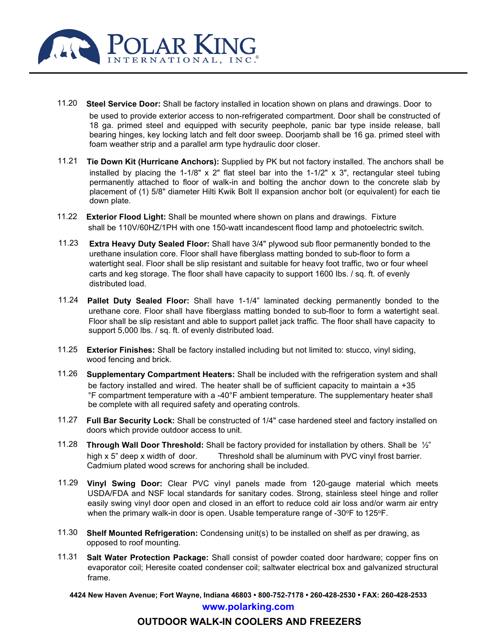

11.20 **Steel Service Door:** Shall be factory installed in location shown on plans and drawings. Door to

be used to provide exterior access to non-refrigerated compartment. Door shall be constructed of 18 ga. primed steel and equipped with security peephole, panic bar type inside release, ball bearing hinges, key locking latch and felt door sweep. Doorjamb shall be 16 ga. primed steel with foam weather strip and a parallel arm type hydraulic door closer.

- 11.21 **Tie Down Kit (Hurricane Anchors):** Supplied by PK but not factory installed. The anchors shall be installed by placing the 1-1/8"  $\times$  2" flat steel bar into the 1-1/2"  $\times$  3", rectangular steel tubing permanently attached to floor of walk-in and bolting the anchor down to the concrete slab by placement of (1) 5/8" diameter Hilti Kwik Bolt II expansion anchor bolt (or equivalent) for each tie down plate.
- 11.22 **Exterior Flood Light:** Shall be mounted where shown on plans and drawings. Fixture shall be 110V/60HZ/1PH with one 150-watt incandescent flood lamp and photoelectric switch.
- 11.23 **Extra Heavy Duty Sealed Floor:** Shall have 3/4" plywood sub floor permanently bonded to the urethane insulation core. Floor shall have fiberglass matting bonded to sub-floor to form a watertight seal. Floor shall be slip resistant and suitable for heavy foot traffic, two or four wheel carts and keg storage. The floor shall have capacity to support 1600 Ibs. / sq. ft. of evenly distributed load.
- 11.24 **Pallet Duty Sealed Floor:** Shall have 1-1/4" laminated decking permanently bonded to the urethane core. Floor shall have fiberglass matting bonded to sub-floor to form a watertight seal. Floor shall be slip resistant and able to support pallet jack traffic. The floor shall have capacity to support 5,000 lbs. / sq. ft. of evenly distributed load.
- 11.25 **Exterior Finishes:** Shall be factory installed including but not limited to: stucco, vinyl siding, wood fencing and brick.
- 11.26 **Supplementary Compartment Heaters:** Shall be included with the refrigeration system and shall be factory installed and wired. The heater shall be of sufficient capacity to maintain a +35 °F compartment temperature with a -40°F ambient temperature. The supplementary heater shall be complete with all required safety and operating controls.
- 11.27 **Full Bar Security Lock:** Shall be constructed of 1/4" case hardened steel and factory installed on doors which provide outdoor access to unit.
- 11.28 **Through Wall Door Threshold:** Shall be factory provided for installation by others. Shall be ½" high x 5" deep x width of door. Threshold shall be aluminum with PVC vinyl frost barrier. Cadmium plated wood screws for anchoring shall be included.
- 11.29 **Vinyl Swing Door:** Clear PVC vinyl panels made from 120-gauge material which meets USDA/FDA and NSF local standards for sanitary codes. Strong, stainless steel hinge and roller easily swing vinyl door open and closed in an effort to reduce cold air loss and/or warm air entry when the primary walk-in door is open. Usable temperature range of -30°F to 125°F.
- 11.30 **Shelf Mounted Refrigeration:** Condensing unit(s) to be installed on shelf as per drawing, as opposed to roof mounting.
- 11.31 **Salt Water Protection Package:** Shall consist of powder coated door hardware; copper fins on evaporator coil; Heresite coated condenser coil; saltwater electrical box and galvanized structural frame.

**4424 New Haven Avenue; Fort Wayne, Indiana 46803 • 800-752-7178 • 260-428-2530 • FAX: 260-428-2533 [www.polarking.com](http://www.polarking.com/)**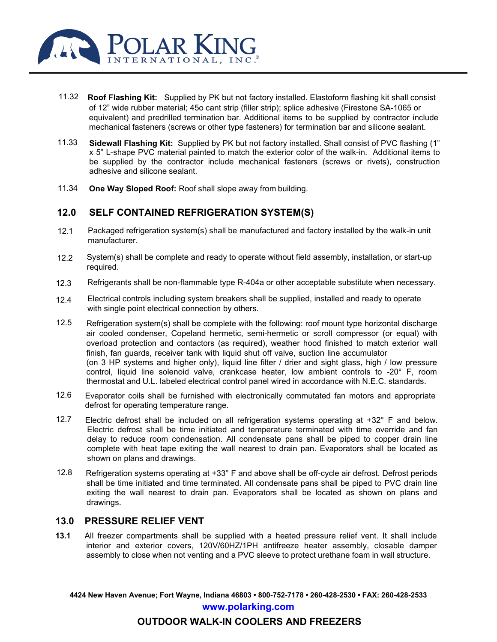

- 11.32 **Roof Flashing Kit:** Supplied by PK but not factory installed. Elastoform flashing kit shall consist of 12" wide rubber material; 45o cant strip (filler strip); splice adhesive (Firestone SA-1065 or equivalent) and predrilled termination bar. Additional items to be supplied by contractor include mechanical fasteners (screws or other type fasteners) for termination bar and silicone sealant.
- 11.33 **Sidewall Flashing Kit:** Supplied by PK but not factory installed. Shall consist of PVC flashing (1" x 5" L-shape PVC material painted to match the exterior color of the walk-in. Additional items to be supplied by the contractor include mechanical fasteners (screws or rivets), construction adhesive and silicone sealant.
- 11.34 **One Way Sloped Roof:** Roof shall slope away from building.

#### **12.0 SELF CONTAINED REFRIGERATION SYSTEM(S)**

- 12.1 Packaged refrigeration system(s) shall be manufactured and factory installed by the walk-in unit manufacturer.
- $12.2<sub>2</sub>$ System(s) shall be complete and ready to operate without field assembly, installation, or start-up required.
- 12.3 Refrigerants shall be non-flammable type R-404a or other acceptable substitute when necessary.
- 12.4 Electrical controls including system breakers shall be supplied, installed and ready to operate with single point electrical connection by others.
- 12.5 Refrigeration system(s) shall be complete with the following: roof mount type horizontal discharge air cooled condenser, Copeland hermetic, semi-hermetic or scroll compressor (or equal) with overload protection and contactors (as required), weather hood finished to match exterior wall finish, fan guards, receiver tank with liquid shut off valve, suction line accumulator (on 3 HP systems and higher only), liquid line filter / drier and sight glass, high / low pressure control, liquid line solenoid valve, crankcase heater, low ambient controls to -20° F, room thermostat and U.L. labeled electrical control panel wired in accordance with N.E.C. standards.
- 12.6 Evaporator coils shall be furnished with electronically commutated fan motors and appropriate defrost for operating temperature range.
- 12.7 Electric defrost shall be included on all refrigeration systems operating at +32° F and below. Electric defrost shall be time initiated and temperature terminated with time override and fan delay to reduce room condensation. All condensate pans shall be piped to copper drain line complete with heat tape exiting the wall nearest to drain pan. Evaporators shall be located as shown on plans and drawings.
- 12.8 Refrigeration systems operating at +33° F and above shall be off-cycle air defrost. Defrost periods shall be time initiated and time terminated. All condensate pans shall be piped to PVC drain line exiting the wall nearest to drain pan. Evaporators shall be located as shown on plans and drawings.

### **13.0 PRESSURE RELIEF VENT**

**13.1** All freezer compartments shall be supplied with a heated pressure relief vent. It shall include interior and exterior covers, 120V/60HZ/1PH antifreeze heater assembly, closable damper assembly to close when not venting and a PVC sleeve to protect urethane foam in wall structure.

**4424 New Haven Avenue; Fort Wayne, Indiana 46803 • 800-752-7178 • 260-428-2530 • FAX: 260-428-2533 [www.polarking.com](http://www.polarking.com/)**